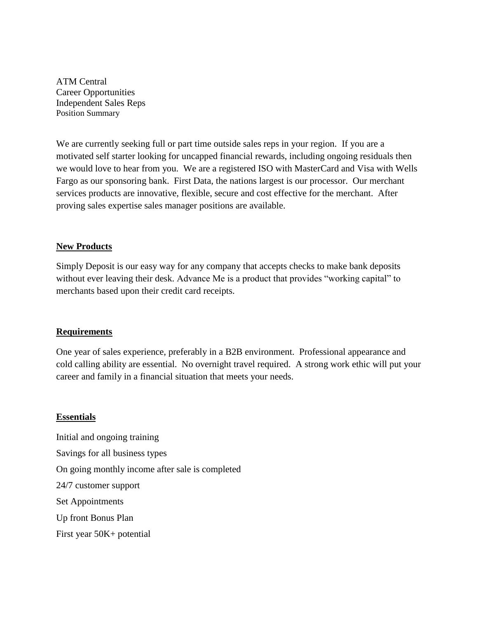ATM Central Career Opportunities Independent Sales Reps Position Summary

We are currently seeking full or part time outside sales reps in your region. If you are a motivated self starter looking for uncapped financial rewards, including ongoing residuals then we would love to hear from you. We are a registered ISO with MasterCard and Visa with Wells Fargo as our sponsoring bank. First Data, the nations largest is our processor. Our merchant services products are innovative, flexible, secure and cost effective for the merchant. After proving sales expertise sales manager positions are available.

## **New Products**

Simply Deposit is our easy way for any company that accepts checks to make bank deposits without ever leaving their desk. Advance Me is a product that provides "working capital" to merchants based upon their credit card receipts.

## **Requirements**

One year of sales experience, preferably in a B2B environment. Professional appearance and cold calling ability are essential. No overnight travel required. A strong work ethic will put your career and family in a financial situation that meets your needs.

## **Essentials**

Initial and ongoing training Savings for all business types On going monthly income after sale is completed 24/7 customer support Set Appointments Up front Bonus Plan First year 50K+ potential